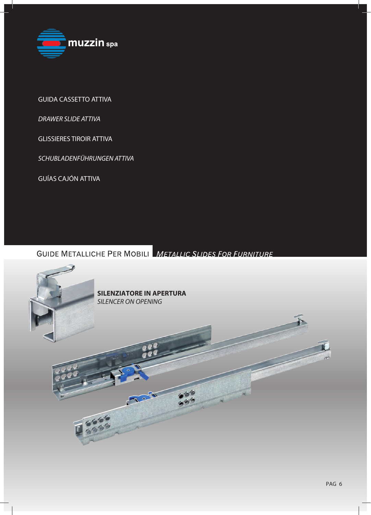

GUIDA CASSETTO ATTIVA

*DRAWER SLIDE ATTIVA*

GLISSIERES TIROIR ATTIVA

*SCHUBLADENFÜHRUNGEN ATTIVA*

GUÍAS CAJÓN ATTIVA

**GUIDE METALLICHE PER MOBILI METALLIC SLIDES FOR FURNITURE** 

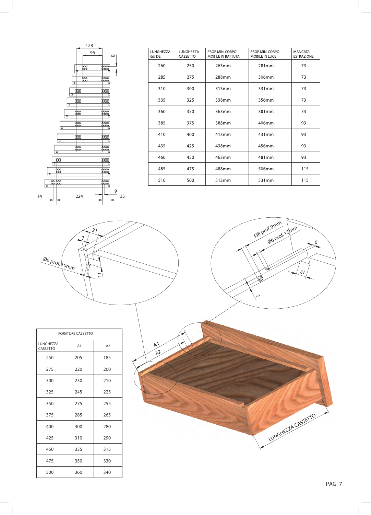

| LUNGHEZZA<br><b>GUIDE</b> | LUNGHEZZA<br>CASSETTO | PROF. MIN. CORPO<br>MOBILE IN BATTUTA | PROF. MIN. CORPO<br>MOBILE IN LUCE | <b>MANCATA</b><br><b>ESTRAZIONE</b> |
|---------------------------|-----------------------|---------------------------------------|------------------------------------|-------------------------------------|
| 260                       | 250                   | 263mm                                 | 281mm                              | 73                                  |
| 285                       | 275                   | 288mm                                 | 306mm                              | 73                                  |
| 310                       | 300                   | 313mm                                 | 331mm                              | 73                                  |
| 335                       | 325                   | 338mm                                 | 356mm                              | 73                                  |
| 360                       | 350                   | 363mm                                 | 381mm                              | 73                                  |
| 385                       | 375                   | 388mm                                 | 406mm                              | 93                                  |
| 410                       | 400                   | 413mm                                 | 431mm                              | 93                                  |
| 435                       | 425                   | 438mm                                 | 456mm                              | 93                                  |
| 460                       | 450                   | 463mm                                 | 481mm                              | 93                                  |
| 485                       | 475                   | 488mm                                 | 506mm                              | 115                                 |
| 510                       | 500                   | 513mm                                 | 531mm                              | 115                                 |



| <b>FORATURE CASSETTO</b>     |                |     |  |  |
|------------------------------|----------------|-----|--|--|
| <b>LUNGHEZZA</b><br>CASSETTO | A <sub>1</sub> | A2  |  |  |
| 250                          | 205            | 185 |  |  |
| 275                          | 220            | 200 |  |  |
| 300                          | 230            | 210 |  |  |
| 325                          | 245            | 225 |  |  |
| 350                          | 275            | 255 |  |  |
| 375                          | 285            | 265 |  |  |
| 400                          | 300            | 280 |  |  |
| 425                          | 310            | 290 |  |  |
| 450                          | 335            | 315 |  |  |
| 475                          | 350            | 330 |  |  |
| 500                          | 360            | 340 |  |  |

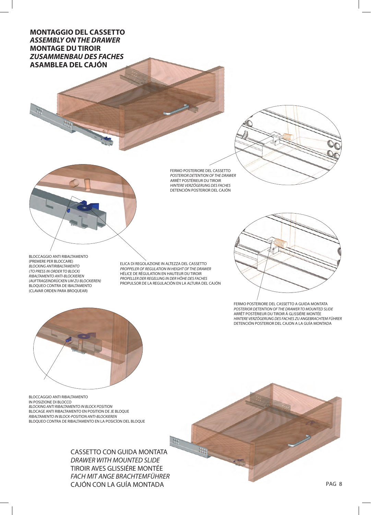## **MONTAGGIO DEL CASSETTO**  *ASSEMBLY ON THE DRAWER*  **MONTAGE DU TIROIR**  *ZUSAMMENBAU DES FACHES*  **ASAMBLEA DEL CAJÓN**





FERMO POSTERIORE DEL CASSETTO *POSTERIOR DETENTION OF THE DRAWER*  ARRÊT POSTÉRIEUR DU TIROIR *HINTERE VERZÖGERUNG DES FACHES* DETENCIÓN POSTERIOR DEL CAJÓN

BLOCCAGGIO ANTI RIBALTAMENTO (PREMERE PER BLOCCARE) *BLOCKING ANTIRIBALTAMENTO (TO PRESS IN ORDER TO BLOCK) RIBALTAMENTO ANTI-BLOCKIEREN (AUFTRAGEINDRÜCKEN UM ZU BLOCKIEREN)* BLOQUEO CONTRA DE IBALTAMENTO (CLAVAR ORDEN PARA BROQUEAR)

ELICA DI REGOLAZIONE IN ALTEZZA DEL CASSETTO *PROPPELER OF REGULATION IN HEIGHT OF THE DRAWER* HÉLICE DE RÉGULATION EN HAUTEUR DU TIROIR *PROPELLER DER REGELUNG IN DER HÖHE DES FACHES* PROPULSOR DE LA REGULACIÓN EN LA ALTURA DEL CAJÓN



FERMO POSTERIORE DEL CASSETTO A GUIDA MONTATA *POSTERIOR DETENTION OF THE DRAWER TO MOUNTED SLIDE*  ARRÊT POSTÉRIEUR DU TIROIR Á GLISSIÉRE MONTÉE *HINTERE VERZÖGERUNG DES FACHES ZU ANGEBRACHTEM FÜHRER* DETENCIÓN POSTERIOR DEL CAJON A LA GUÍA MONTADA



BLOCCAGGIO ANTI RIBALTAMENTO IN POSIZIONE DI BLOCCO *BLOCKING ANTI RIBALTAMENTO IN BLOCK POSITION*  BLOCAGE ANTI RIBALTAMENTO EN POSITION DE JE BLOQUE *RIBALTAMENTO IN BLOCK-POSITION ANTI-BLOCKIEREN*  BLOQUEO CONTRA DE RIBALTAMENTO EN LA POSICÍON DEL BLOQUE

> CASSETTO CON GUIDA MONTATA *DRAWER WITH MOUNTED SLIDE*  TIROIR AVES GLISSIÉRE MONTÉE *FACH MIT ANGE BRACHTEMFÜHRER*